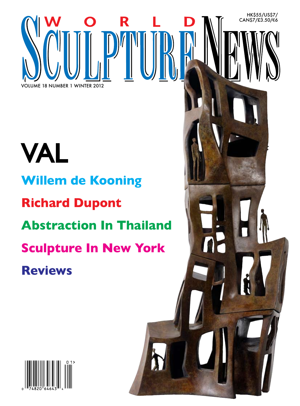## VAL **Willem de Kooning Richard Dupont Abstraction In Thailand Sculpture In New York Reviews**

R

HK\$55/US\$7/ CAN\$7/£3.50/€6

VOLUME 18 NUMBER 1 WINTER 2012

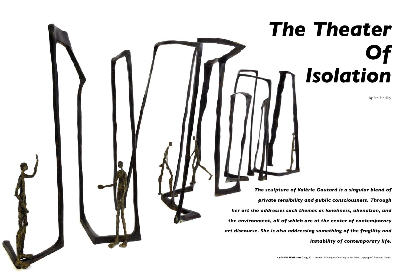*The sculpture of Valérie Goutard is a singular blend of private sensibility and public consciousness. Through her art she addresses such themes as loneliness, alienation, and the environment, all of which are at the center of contemporary art discourse. She is also addressing something of the fragility and instability of contemporary life.* 



## *The Theater Of Isolation*

By Ian Findlay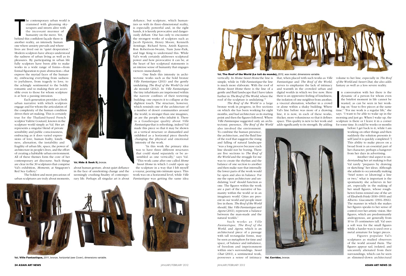The contemporary urban world is<br>
crammed with gleaming sky-<br>
scrapers and streets alive with<br>
the incessant murmur of<br>
humanity on the move. Yet,<br>
behind this confident facade there is crammed with gleaming skyscrapers and streets alive with the incessant murmur of humanity on the move. Yet, behind this confident façade there is another reality, an intensely human one where anxiety prevails and where

lives are lived out in "quiet desperation." Modern sculptors have always understood the sadness of urban living as well as its pleasures. By participating in urban life fully sculptors have been able to make works in a wide range of forms—from formal figuration to pure abstraction—that express the myriad faces of the humanity, embracing everything from sadness to joyfulness, from tragedy to love, to the achingly sentimental to the boldly romantic and so making their art accessible even to those for whom sculpture is at best a passing intrusion.

Each generation provides a fresh urban narrative with which sculptors engage and for whom the articulation of the complexity of the human condition drives their art making. This is certainly true for the Thailand-based French sculptor Valérie Goutard, known in the sculpture world simply as Val. Her art represents a singular blend of private sensibility and public consciousness, embracing as it does varied expressions of love, human frailty, loneliness, alienation, the instability and fragility of urban life, space, the power of architecture in people's lives, and the effort of creating a habitable urban environment. All of these themes form the core of her contemporary art discourse. Such things are clear in the 30 sculptures that comprise Val's exhibition, *Moments*, at Singapore's Red Sea Gallery.1

The boldest and most precarious of urban sculptures are truly about moments,

about human gesture, about quiet defiance in the face of unrelenting change and the seemingly crushing finality of contemporary life. Perhaps all singular art is about



tectonic works such as the bold bronze *Ville Fantastique* (2011) and the gently undulating *The Roof of the World* (*Le toit du monde*) (2012). In *Ville Fantastique*  the tiny inhabitants are imprisoned within the narrow confines of their teetering building: one expects it to collapse at the slightest touch. The structure, however, which reminds one of the architecture of a number of desert communities around the world, is stronger than one imagines, as are the people who inhabit it. There is a Gaudiesque quality about *Ville Fantastique* that is refreshing; indeed Val made this piece so that it may be shown as a vertical structure or dismantled and exhibited as a horizontal piece thereby changing the physical and emotional intensity of the work.

dynamic of a person for whom even<br>the briefest moment in life cannot be<br>wasted, as can be seen in her work-<br>ing on "four to five pieces at the same<br>time." "For me work is a regular life," she n conversation with her there is the dynamic of a person for whom even the briefest moment in life cannot be wasted, as can be seen in her working on "four to five pieces at the same says. "I want to be able to wake up in the morning and just go. When I wake up, the sculpture is there or I leave it in a corner for some time. It could be weeks or months

"In this work the primary idea was to have three different structures that could stand separately or be assembled as one vertically," says Val. "This work came after one called *Home Sweet Home* in which I could open up the sculpture in a way that I felt myself a voyeur, peering into intimate space. This work was on a horizontal level, while *Ville Fantastique* was getting the same idea





is much more elaborate. With the roof of roof of the sculpture is undulating."<sup>2</sup>

*The Roof of the World* is a large bronze work in progress, in five sections on which she has been working for eight months, and had architecture as its starting point and then the figures followed. Where *Ville Fantasique* suggested only an architectonic presence, *The Roof of the World* also involved the environment.

To combine the human presence, the architecture, and the fluid line of the roof that suggests the rising and falling of natural landscape "was a long process because each line should not be boring. There are five sections to *The Roof of the World* and the struggle for me was to create the rhythm and the balance of one section to another and then make sure that internally the lower parts of the work would be open and also in balance. For me the open architecture and undulating 'roof' should function as one. The figures within the work are a part of the narrative of humanity within the world or in an imaginary world. Cities are present in our world and people must live in them. *The Roof of the World* should, like *Ville Fantastique* and *Agora* (2011), represent a balance between the man-made and the natural worlds."

Such works as *Ville Fantastique*, *The Roof of the World*, and *Agora*, which is an architectural piece of a passage with tall rectangular forms, may be seen as metaphors for time and space, of balance and imbalance, of freedom and imprisonment within one's surroundings. *Sweet Chat* (2011), a sentimental work, possesses a sense of intimacy

volume to her line, especially in *The Roof of the World* and *Sweet Chat*, she also adds fantasy as well as a less severe reality.

vertically. In *Home Sweet Home* the line is that, when placed with such works as *Ville*  simple, while in *Ville Fantastique* the line *Fantastique* and *The Roof of the World*, *Home Sweet Home* there is the line of a and warmth in the crowded urban and gentle and fluid landscape that I have taken digital worlds in which we live now. Here further in *The Roof of The World*, where the there is an oppressive feeling of loneliness, serves to emphasize the lack of intimacy the isolation of one neighbor from another, a visceral alienation, whether in a crowd or alone within a shaky building. Where Val's line before was more of a drawing line, it is now, in each of these works, thicker, more voluminous so that it defines space. This quality is new to her work and adds significantly to its strength. By adding



before I get back to it; while I am working on other things and then suddenly the solution presents itself [and it is quickly completed."] This ability to make pieces on a broad front is an essential part of her character, perhaps a hangover from her days in advertising.

Another vital aspect to understanding her art making is that Val rarely "prepares by drawing or sketching" her ideas. Although she admits to occasionally making "brief notes or [drawing] a line or two," what is important is the spontaneity she achieves in her art, especially in the making of her small figures, whose roughhewn forms remind one of the art of Elisabeth Frink (1930–1993) and Alberto Giacometti (1901–1966). The manner in which she makes her figures speaks to her sense of control over her artistic vision. Her figures, which are predominantly androgynous, are generally from 10 to 15 centimeters tall. Val uses a soft wax for the small figures while a harder wax is used over a metal armature for larger pieces.

Figures populate Val's sculptures as studied observers of the world around them. The figures appear sad, isolated, and uncannily alienated from their surroundings, which can be seen

**Val,** Hide & Seek II, bronze.

Val, Ville Fantastique, 2011, bronze, horizontal (see *Cover*), dimensions variable. **as subsequent architectural** possesses a sense of intimacy val, Corridor, bronze. as slimmed-down architectural



## Val, The Roof of the World (Le toit du monde), 2012, wax model, dimensions variable

**Val,** Corridor, bronze.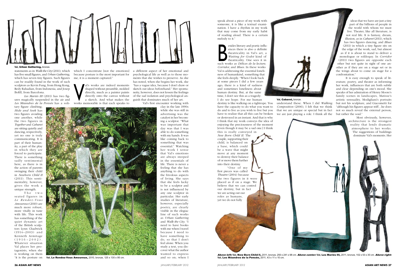

## Val. Urban Gathering, bronze.

**Val,** Le Rendez-Vous Amoureux, 2010, bronze, 125 x 130 x 95 cm.

statements as in *Walk the City* (2011), which has five small figures, and *Urban Gathering*, which has seven tiny figures. Such figures can be readily found in the work of such sculptors as Kevin Fung, from Hong Kong, Redy Rahadian, from Indonesia, and Josep Bofill, from Barcelona.

*Les Mariés III* (2011) has two figures magically suspended in the air and *Les Méandres de la Pensée* has a soli-

The two seated figures in *L e R e n d e z -Vo u s Amoureux* (2010) are much more robust, more vitally in tune with life. This work has something of the quiet dynamic art of the British sculptors Lynn Chadwick  $(1914 - 2003)$  and Kenneth Armitage  $(1916 - 2002)$ . Whatever situation Val places her protagonists, when she is working on them "it is the posture on which I concentrate [not the emotions] because posture is the most important for me, it is a moment captured."

tary figure climbing; *Hide and Seek* has two figures avoiding one another, while the two figures in *Together* and *Cabaret* are sitting quietly and dancing, respectively, yet no one is truly communicating. It is part of their humanity, a part of the play in which they are forced to participate. There is something sadly sentimental here, as there is in the action of parents swinging their child in *Newborn Child II* (2011). This sentimentality, however, gives the work a unique strength.

al's works are indeed moments<br>
shaped without preamble, molded<br>
directly, much as a painter paints<br>
directly onto the canvas without<br>
a sketch. And what makes the<br>
works memorable is that each speaks to shaped without preamble, molded directly, much as a painter paints directly onto the canvas without a sketch. And what makes the

The such that is also a definite<br>theatricality in Val's art, a<br>Waiting for Godot kind of<br>theatricality. One sees it in<br>such works as *Délices de la lecture*, esides literary and poetic influences there is also a definite theatricality in Val's art, a *Waiting for Godot* kind of theatricality. One sees it in *Corridor*, and *Blues*. In these works Val is addressing the essential loneliness of humankind, something that she feels deeply. "When I look back at some pieces I did a few years ago, there is a kind of sadness and sometimes loneliness about human destiny. But, at the same time, I don't see this as a tragedy:

a different aspect of her emotional and psychological life as well as to those moments that she wishes to preserve. As she has noted, when she begins her work, she "has a vague idea, because I don't draw or sketch out ideas beforehand." Her spontaneity, however, does not lessen the feelings of the sad isolation and psychological anguish that dominates much of her art.

Val's first encounter working with

clay in the late 1990s while she was still in advertising was the catalyst in her becoming a sculptor. "What was important that day was that I was able to do something with my hands. It was like coming back to something that was essential." Watching her work I sense that Val's emotions are always steeped in the essentials of life. There is never a feeling that she has anything to do with the frivolous aspects of living. She says that she feels lucky to be a sculptor and is not influenced by any one sculptor in particular. Her early studies of literature, however, especially poetry, are clearly visible in the elegiac line of such works as *Urban Gathering* and *Walk the City*. "I need to have books with me when I travel because I need to have something to do, so that I don't feel alone. When you study a text, you discover what the author wanted to express and so on; when I

speak about a piece of my work with someone, it is like a textual examination. I have a rhythm in my work that may come from my early habit of reading aloud. There is a certain melody to it."

I do see hope. For me human destiny is like walking on a tightrope. You have the capacity to do what you want to do and to live as you wish to live but you have to realize that all this can be broken or destroyed in an instant. And that is why I think that my work conveys the idea of enjoying the preciousness of the moment [even though it may be a sad one.] I think

this is really conveyed in *New Born Child II*. The couple, supporting their child, is balanced on a base, which could be a wave that might move at any moment to destroy their balance of or move them further into their destiny.

"One of my first pieces was called *Theatre* (2004) because the two figures in it were placed as if on a stage. We believe that we can control our destiny, but in fact we are acting out our roles as humans, yet we do not fully



ideas that we have are just a tiny part of the billions of people in the world with whom we must live. Theater, like all literature, is not real life. It is fantasy, dream, illusion, as in *Cabaret* (2011), which has two figures dancing, and *Blues* (2011) in which a tiny figure sits on the edge of the work, sad, but almost as if it is about to stand to deliver a monologue or soliloquy. In *Corridor* (2011) two figures are opposite each other but not quite in sight of one another as if they are on a stage set or in the wings about to come on stage for a confrontation."

It is easy enough to speak of literature, poetry, and theater as informing her work, influences that are both subtle and clear depending on one's mood. She speaks of her admiration of Henry Moore's family scenes in landscapes, Matisse's artistic sensuality, Modigliani's portraits but not his sculpture, and Giacometti for "although his figures appear stiff…he does not so much reveal the external person, but rather the soul."

Most obviously, however, architecture is the strongest reality that lends dramatic atmosphere to her works. The suggestions of buildings dominate Val's moments. Her

we are just playing a role. I think all the

understand these. When I did *Walking Composition* (2006), I felt that we think that we are unique or special but in fact **Val,** Cabaret, bronze.

Above left: **Val,** New Born Child II, 2011, bronze, 250 x 241 x 98 cm. Above center: **Val,** Les Mariés III, 2011, bronze, 102 x 53 x 30 cm. Above right: **Val,** Les Méandres de la Pensée, 2011, 43 x 11 x 10 cm.